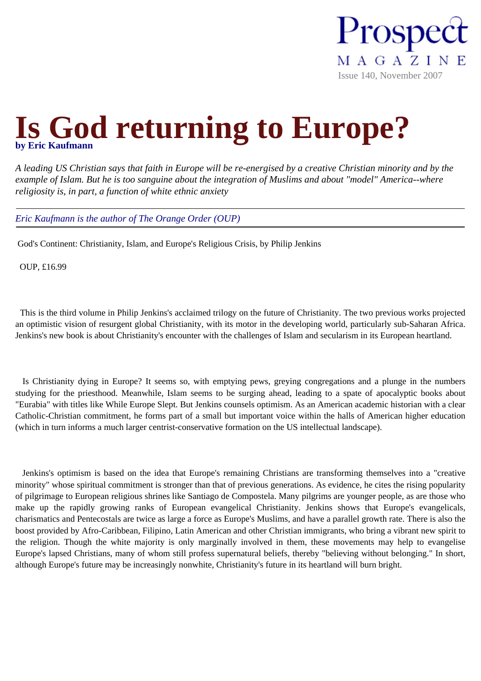

## **Is God returning to Europe?**

*A leading US Christian says that faith in Europe will be re-energised by a creative Christian minority and by the example of Islam. But he is too sanguine about the integration of Muslims and about "model" America--where religiosity is, in part, a function of white ethnic anxiety*

*Eric Kaufmann is the author of The Orange Order (OUP)*

God's Continent: Christianity, Islam, and Europe's Religious Crisis, by Philip Jenkins

OUP, £16.99

 This is the third volume in Philip Jenkins's acclaimed trilogy on the future of Christianity. The two previous works projected an optimistic vision of resurgent global Christianity, with its motor in the developing world, particularly sub-Saharan Africa. Jenkins's new book is about Christianity's encounter with the challenges of Islam and secularism in its European heartland.

 Is Christianity dying in Europe? It seems so, with emptying pews, greying congregations and a plunge in the numbers studying for the priesthood. Meanwhile, Islam seems to be surging ahead, leading to a spate of apocalyptic books about "Eurabia" with titles like While Europe Slept. But Jenkins counsels optimism. As an American academic historian with a clear Catholic-Christian commitment, he forms part of a small but important voice within the halls of American higher education (which in turn informs a much larger centrist-conservative formation on the US intellectual landscape).

 Jenkins's optimism is based on the idea that Europe's remaining Christians are transforming themselves into a "creative minority" whose spiritual commitment is stronger than that of previous generations. As evidence, he cites the rising popularity of pilgrimage to European religious shrines like Santiago de Compostela. Many pilgrims are younger people, as are those who make up the rapidly growing ranks of European evangelical Christianity. Jenkins shows that Europe's evangelicals, charismatics and Pentecostals are twice as large a force as Europe's Muslims, and have a parallel growth rate. There is also the boost provided by Afro-Caribbean, Filipino, Latin American and other Christian immigrants, who bring a vibrant new spirit to the religion. Though the white majority is only marginally involved in them, these movements may help to evangelise Europe's lapsed Christians, many of whom still profess supernatural beliefs, thereby "believing without belonging." In short, although Europe's future may be increasingly nonwhite, Christianity's future in its heartland will burn bright.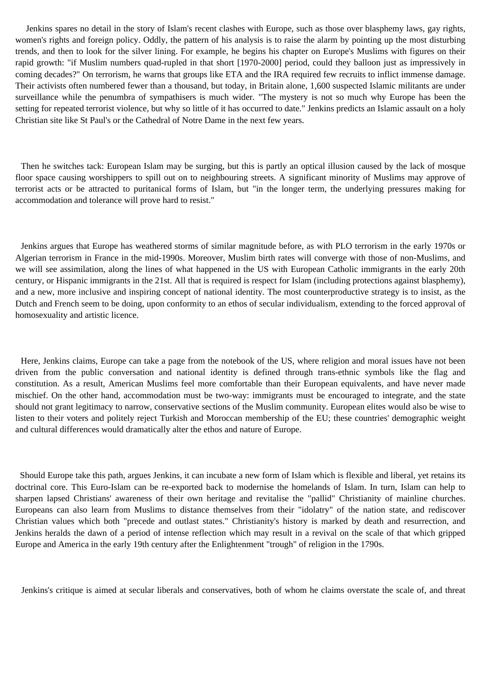Jenkins spares no detail in the story of Islam's recent clashes with Europe, such as those over blasphemy laws, gay rights, women's rights and foreign policy. Oddly, the pattern of his analysis is to raise the alarm by pointing up the most disturbing trends, and then to look for the silver lining. For example, he begins his chapter on Europe's Muslims with figures on their rapid growth: "if Muslim numbers quad-rupled in that short [1970-2000] period, could they balloon just as impressively in coming decades?" On terrorism, he warns that groups like ETA and the IRA required few recruits to inflict immense damage. Their activists often numbered fewer than a thousand, but today, in Britain alone, 1,600 suspected Islamic militants are under surveillance while the penumbra of sympathisers is much wider. "The mystery is not so much why Europe has been the setting for repeated terrorist violence, but why so little of it has occurred to date." Jenkins predicts an Islamic assault on a holy Christian site like St Paul's or the Cathedral of Notre Dame in the next few years.

 Then he switches tack: European Islam may be surging, but this is partly an optical illusion caused by the lack of mosque floor space causing worshippers to spill out on to neighbouring streets. A significant minority of Muslims may approve of terrorist acts or be attracted to puritanical forms of Islam, but "in the longer term, the underlying pressures making for accommodation and tolerance will prove hard to resist."

 Jenkins argues that Europe has weathered storms of similar magnitude before, as with PLO terrorism in the early 1970s or Algerian terrorism in France in the mid-1990s. Moreover, Muslim birth rates will converge with those of non-Muslims, and we will see assimilation, along the lines of what happened in the US with European Catholic immigrants in the early 20th century, or Hispanic immigrants in the 21st. All that is required is respect for Islam (including protections against blasphemy), and a new, more inclusive and inspiring concept of national identity. The most counterproductive strategy is to insist, as the Dutch and French seem to be doing, upon conformity to an ethos of secular individualism, extending to the forced approval of homosexuality and artistic licence.

 Here, Jenkins claims, Europe can take a page from the notebook of the US, where religion and moral issues have not been driven from the public conversation and national identity is defined through trans-ethnic symbols like the flag and constitution. As a result, American Muslims feel more comfortable than their European equivalents, and have never made mischief. On the other hand, accommodation must be two-way: immigrants must be encouraged to integrate, and the state should not grant legitimacy to narrow, conservative sections of the Muslim community. European elites would also be wise to listen to their voters and politely reject Turkish and Moroccan membership of the EU; these countries' demographic weight and cultural differences would dramatically alter the ethos and nature of Europe.

 Should Europe take this path, argues Jenkins, it can incubate a new form of Islam which is flexible and liberal, yet retains its doctrinal core. This Euro-Islam can be re-exported back to modernise the homelands of Islam. In turn, Islam can help to sharpen lapsed Christians' awareness of their own heritage and revitalise the "pallid" Christianity of mainline churches. Europeans can also learn from Muslims to distance themselves from their "idolatry" of the nation state, and rediscover Christian values which both "precede and outlast states." Christianity's history is marked by death and resurrection, and Jenkins heralds the dawn of a period of intense reflection which may result in a revival on the scale of that which gripped Europe and America in the early 19th century after the Enlightenment "trough" of religion in the 1790s.

Jenkins's critique is aimed at secular liberals and conservatives, both of whom he claims overstate the scale of, and threat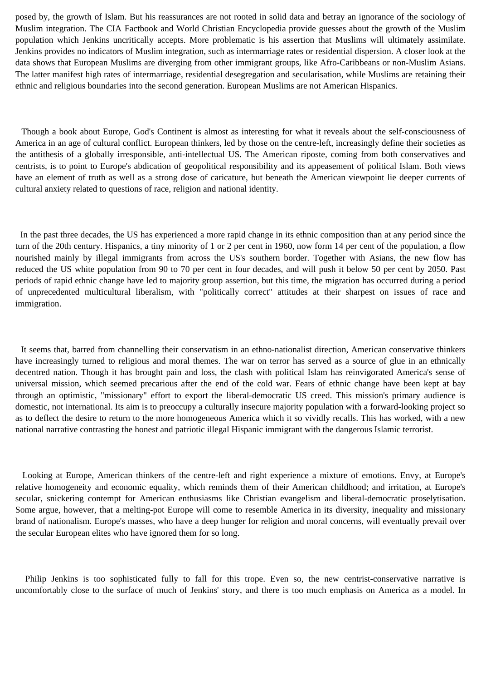posed by, the growth of Islam. But his reassurances are not rooted in solid data and betray an ignorance of the sociology of Muslim integration. The CIA Factbook and World Christian Encyclopedia provide guesses about the growth of the Muslim population which Jenkins uncritically accepts. More problematic is his assertion that Muslims will ultimately assimilate. Jenkins provides no indicators of Muslim integration, such as intermarriage rates or residential dispersion. A closer look at the data shows that European Muslims are diverging from other immigrant groups, like Afro-Caribbeans or non-Muslim Asians. The latter manifest high rates of intermarriage, residential desegregation and secularisation, while Muslims are retaining their ethnic and religious boundaries into the second generation. European Muslims are not American Hispanics.

 Though a book about Europe, God's Continent is almost as interesting for what it reveals about the self-consciousness of America in an age of cultural conflict. European thinkers, led by those on the centre-left, increasingly define their societies as the antithesis of a globally irresponsible, anti-intellectual US. The American riposte, coming from both conservatives and centrists, is to point to Europe's abdication of geopolitical responsibility and its appeasement of political Islam. Both views have an element of truth as well as a strong dose of caricature, but beneath the American viewpoint lie deeper currents of cultural anxiety related to questions of race, religion and national identity.

 In the past three decades, the US has experienced a more rapid change in its ethnic composition than at any period since the turn of the 20th century. Hispanics, a tiny minority of 1 or 2 per cent in 1960, now form 14 per cent of the population, a flow nourished mainly by illegal immigrants from across the US's southern border. Together with Asians, the new flow has reduced the US white population from 90 to 70 per cent in four decades, and will push it below 50 per cent by 2050. Past periods of rapid ethnic change have led to majority group assertion, but this time, the migration has occurred during a period of unprecedented multicultural liberalism, with "politically correct" attitudes at their sharpest on issues of race and immigration.

 It seems that, barred from channelling their conservatism in an ethno-nationalist direction, American conservative thinkers have increasingly turned to religious and moral themes. The war on terror has served as a source of glue in an ethnically decentred nation. Though it has brought pain and loss, the clash with political Islam has reinvigorated America's sense of universal mission, which seemed precarious after the end of the cold war. Fears of ethnic change have been kept at bay through an optimistic, "missionary" effort to export the liberal-democratic US creed. This mission's primary audience is domestic, not international. Its aim is to preoccupy a culturally insecure majority population with a forward-looking project so as to deflect the desire to return to the more homogeneous America which it so vividly recalls. This has worked, with a new national narrative contrasting the honest and patriotic illegal Hispanic immigrant with the dangerous Islamic terrorist.

 Looking at Europe, American thinkers of the centre-left and right experience a mixture of emotions. Envy, at Europe's relative homogeneity and economic equality, which reminds them of their American childhood; and irritation, at Europe's secular, snickering contempt for American enthusiasms like Christian evangelism and liberal-democratic proselytisation. Some argue, however, that a melting-pot Europe will come to resemble America in its diversity, inequality and missionary brand of nationalism. Europe's masses, who have a deep hunger for religion and moral concerns, will eventually prevail over the secular European elites who have ignored them for so long.

 Philip Jenkins is too sophisticated fully to fall for this trope. Even so, the new centrist-conservative narrative is uncomfortably close to the surface of much of Jenkins' story, and there is too much emphasis on America as a model. In